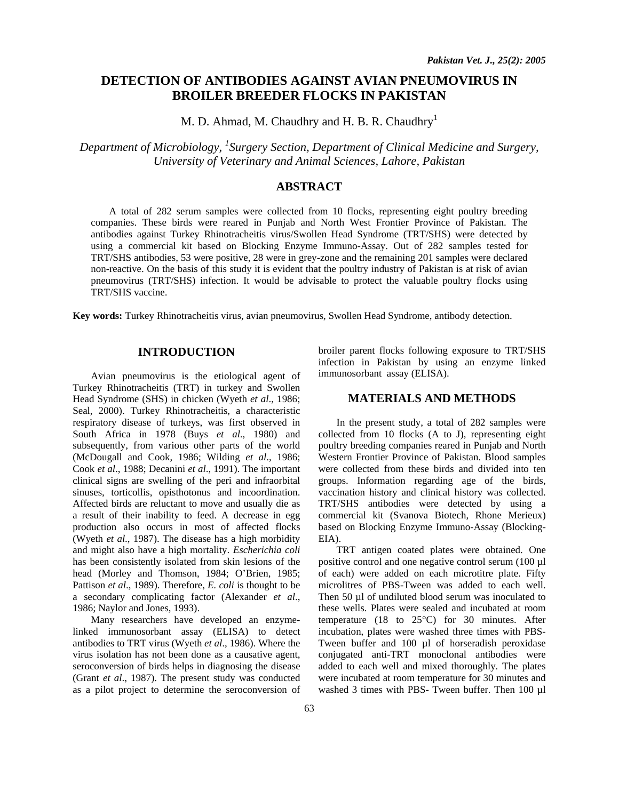# **DETECTION OF ANTIBODIES AGAINST AVIAN PNEUMOVIRUS IN BROILER BREEDER FLOCKS IN PAKISTAN**

M. D. Ahmad, M. Chaudhry and H. B. R. Chaudhry<sup>1</sup>

*Department of Microbiology, 1 Surgery Section, Department of Clinical Medicine and Surgery, University of Veterinary and Animal Sciences, Lahore, Pakistan* 

#### **ABSTRACT**

A total of 282 serum samples were collected from 10 flocks, representing eight poultry breeding companies. These birds were reared in Punjab and North West Frontier Province of Pakistan. The antibodies against Turkey Rhinotracheitis virus/Swollen Head Syndrome (TRT/SHS) were detected by using a commercial kit based on Blocking Enzyme Immuno-Assay. Out of 282 samples tested for TRT/SHS antibodies, 53 were positive, 28 were in grey-zone and the remaining 201 samples were declared non-reactive. On the basis of this study it is evident that the poultry industry of Pakistan is at risk of avian pneumovirus (TRT/SHS) infection. It would be advisable to protect the valuable poultry flocks using TRT/SHS vaccine.

**Key words:** Turkey Rhinotracheitis virus, avian pneumovirus, Swollen Head Syndrome, antibody detection.

# **INTRODUCTION**

Avian pneumovirus is the etiological agent of Turkey Rhinotracheitis (TRT) in turkey and Swollen Head Syndrome (SHS) in chicken (Wyeth *et al*., 1986; Seal, 2000). Turkey Rhinotracheitis, a characteristic respiratory disease of turkeys, was first observed in South Africa in 1978 (Buys *et al*., 1980) and subsequently, from various other parts of the world (McDougall and Cook, 1986; Wilding *et al*., 1986; Cook *et al*., 1988; Decanini *et al*., 1991). The important clinical signs are swelling of the peri and infraorbital sinuses, torticollis, opisthotonus and incoordination. Affected birds are reluctant to move and usually die as a result of their inability to feed. A decrease in egg production also occurs in most of affected flocks (Wyeth *et al*., 1987). The disease has a high morbidity and might also have a high mortality. *Escherichia coli* has been consistently isolated from skin lesions of the head (Morley and Thomson, 1984; O'Brien, 1985; Pattison *et al.*, 1989). Therefore, *E. coli* is thought to be a secondary complicating factor (Alexander *et al*., 1986; Naylor and Jones, 1993).

Many researchers have developed an enzymelinked immunosorbant assay (ELISA) to detect antibodies to TRT virus (Wyeth *et al*., 1986). Where the virus isolation has not been done as a causative agent, seroconversion of birds helps in diagnosing the disease (Grant *et al*., 1987). The present study was conducted as a pilot project to determine the seroconversion of

broiler parent flocks following exposure to TRT/SHS infection in Pakistan by using an enzyme linked immunosorbant assay (ELISA).

#### **MATERIALS AND METHODS**

In the present study, a total of 282 samples were collected from 10 flocks (A to J), representing eight poultry breeding companies reared in Punjab and North Western Frontier Province of Pakistan. Blood samples were collected from these birds and divided into ten groups. Information regarding age of the birds, vaccination history and clinical history was collected. TRT/SHS antibodies were detected by using a commercial kit (Svanova Biotech, Rhone Merieux) based on Blocking Enzyme Immuno-Assay (Blocking-EIA).

TRT antigen coated plates were obtained. One positive control and one negative control serum (100 µl of each) were added on each microtitre plate. Fifty microlitres of PBS-Tween was added to each well. Then 50 µl of undiluted blood serum was inoculated to these wells. Plates were sealed and incubated at room temperature (18 to 25°C) for 30 minutes. After incubation, plates were washed three times with PBS-Tween buffer and 100 µl of horseradish peroxidase conjugated anti-TRT monoclonal antibodies were added to each well and mixed thoroughly. The plates were incubated at room temperature for 30 minutes and washed 3 times with PBS- Tween buffer. Then 100 µl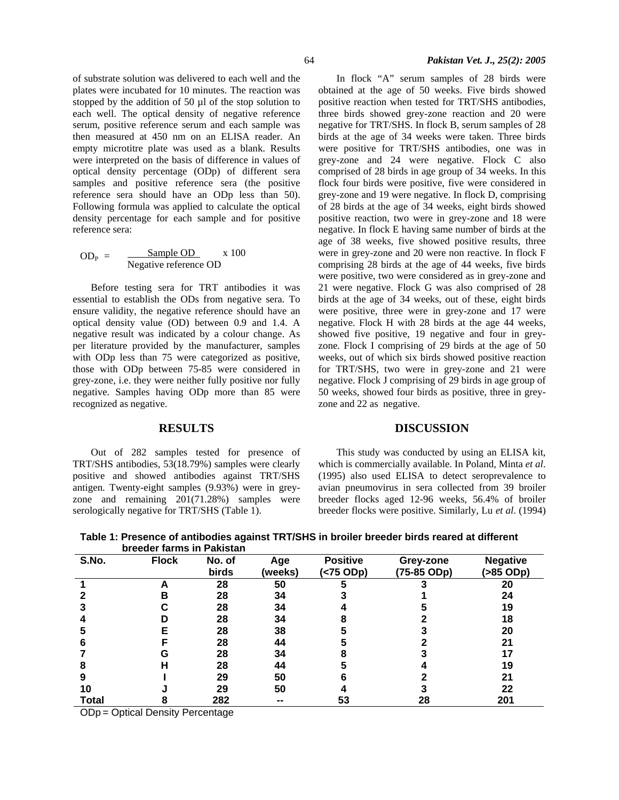of substrate solution was delivered to each well and the plates were incubated for 10 minutes. The reaction was stopped by the addition of 50 µl of the stop solution to each well. The optical density of negative reference serum, positive reference serum and each sample was then measured at 450 nm on an ELISA reader. An empty microtitre plate was used as a blank. Results were interpreted on the basis of difference in values of optical density percentage (ODp) of different sera samples and positive reference sera (the positive reference sera should have an ODp less than 50). Following formula was applied to calculate the optical density percentage for each sample and for positive reference sera:

$$
ODP = \frac{Sample OD}{Negative reference OD} \times 100
$$

Before testing sera for TRT antibodies it was essential to establish the ODs from negative sera. To ensure validity, the negative reference should have an optical density value (OD) between 0.9 and 1.4. A negative result was indicated by a colour change. As per literature provided by the manufacturer, samples with ODp less than 75 were categorized as positive, those with ODp between 75-85 were considered in grey-zone, i.e. they were neither fully positive nor fully negative. Samples having ODp more than 85 were recognized as negative.

## **RESULTS**

Out of 282 samples tested for presence of TRT/SHS antibodies, 53(18.79%) samples were clearly positive and showed antibodies against TRT/SHS antigen. Twenty-eight samples (9.93%) were in greyzone and remaining 201(71.28%) samples were serologically negative for TRT/SHS (Table 1).

In flock "A" serum samples of 28 birds were obtained at the age of 50 weeks. Five birds showed positive reaction when tested for TRT/SHS antibodies, three birds showed grey-zone reaction and 20 were negative for TRT/SHS. In flock B, serum samples of 28 birds at the age of 34 weeks were taken. Three birds were positive for TRT/SHS antibodies, one was in grey-zone and 24 were negative. Flock C also comprised of 28 birds in age group of 34 weeks. In this flock four birds were positive, five were considered in grey-zone and 19 were negative. In flock D, comprising of 28 birds at the age of 34 weeks, eight birds showed positive reaction, two were in grey-zone and 18 were negative. In flock E having same number of birds at the age of 38 weeks, five showed positive results, three were in grey-zone and 20 were non reactive. In flock F comprising 28 birds at the age of 44 weeks, five birds were positive, two were considered as in grey-zone and 21 were negative. Flock G was also comprised of 28 birds at the age of 34 weeks, out of these, eight birds were positive, three were in grey-zone and 17 were negative. Flock H with 28 birds at the age 44 weeks, showed five positive, 19 negative and four in greyzone. Flock I comprising of 29 birds at the age of 50 weeks, out of which six birds showed positive reaction for TRT/SHS, two were in grey-zone and 21 were negative. Flock J comprising of 29 birds in age group of 50 weeks, showed four birds as positive, three in greyzone and 22 as negative.

## **DISCUSSION**

This study was conducted by using an ELISA kit, which is commercially available. In Poland, Minta *et al*. (1995) also used ELISA to detect seroprevalence to avian pneumovirus in sera collected from 39 broiler breeder flocks aged 12-96 weeks, 56.4% of broiler breeder flocks were positive. Similarly, Lu *et al*. (1994)

|              | breeder farms in Pakistan |        |         |                 |             |                 |
|--------------|---------------------------|--------|---------|-----------------|-------------|-----------------|
| S.No.        | <b>Flock</b>              | No. of | Age     | <b>Positive</b> | Grey-zone   | <b>Negative</b> |
|              |                           | birds  | (weeks) | (<75 ODp)       | (75-85 ODp) | (>85 ODp)       |
|              |                           | 28     | 50      |                 |             | 20              |
|              | R                         | 28     | 34      |                 |             | 24              |
|              |                           | 28     | 34      |                 |             | 19              |
|              |                           | 28     | 34      |                 |             | 18              |
|              |                           | 28     | 38      |                 |             | 20              |
|              |                           | 28     | 44      |                 |             | 21              |
|              | G                         | 28     | 34      |                 |             |                 |
|              |                           | 28     | 44      |                 |             | 19              |
| 9            |                           | 29     | 50      |                 |             | 21              |
| 10           |                           | 29     | 50      |                 |             | 22              |
| <b>Total</b> |                           | 282    | --      | 53              | 28          | 201             |

**Table 1: Presence of antibodies against TRT/SHS in broiler breeder birds reared at different** 

ODp = Optical Density Percentage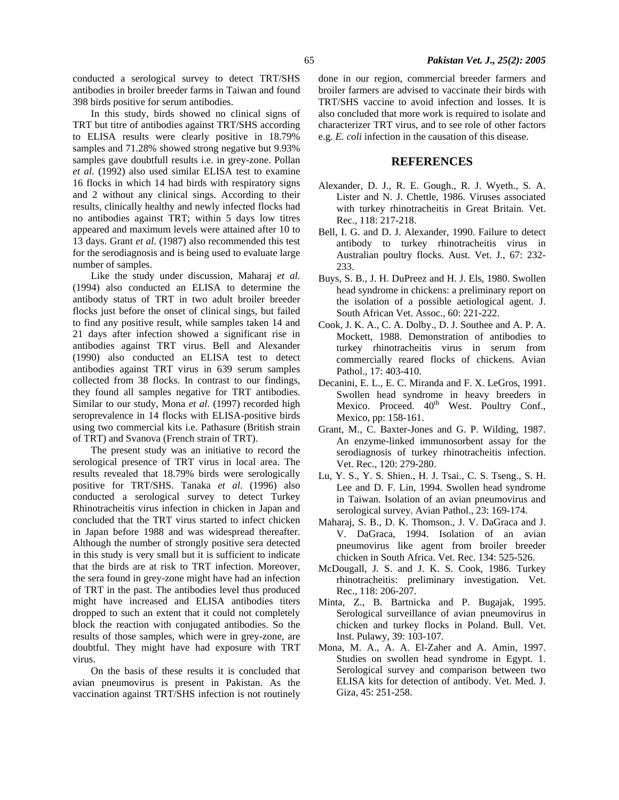In this study, birds showed no clinical signs of TRT but titre of antibodies against TRT/SHS according to ELISA results were clearly positive in 18.79% samples and 71.28% showed strong negative but 9.93% samples gave doubtfull results i.e. in grey-zone. Pollan *et al*. (1992) also used similar ELISA test to examine 16 flocks in which 14 had birds with respiratory signs and 2 without any clinical sings. According to their results, clinically healthy and newly infected flocks had no antibodies against TRT; within 5 days low titres appeared and maximum levels were attained after 10 to 13 days. Grant *et al*. (1987) also recommended this test for the serodiagnosis and is being used to evaluate large number of samples.

Like the study under discussion, Maharaj *et al*. (1994) also conducted an ELISA to determine the antibody status of TRT in two adult broiler breeder flocks just before the onset of clinical sings, but failed to find any positive result, while samples taken 14 and 21 days after infection showed a significant rise in antibodies against TRT virus. Bell and Alexander (1990) also conducted an ELISA test to detect antibodies against TRT virus in 639 serum samples collected from 38 flocks. In contrast to our findings, they found all samples negative for TRT antibodies. Similar to our study, Mona *et al*. (1997) recorded high seroprevalence in 14 flocks with ELISA-positive birds using two commercial kits i.e. Pathasure (British strain of TRT) and Svanova (French strain of TRT).

The present study was an initiative to record the serological presence of TRT virus in local area. The results revealed that 18.79% birds were serologically positive for TRT/SHS. Tanaka *et al*. (1996) also conducted a serological survey to detect Turkey Rhinotracheitis virus infection in chicken in Japan and concluded that the TRT virus started to infect chicken in Japan before 1988 and was widespread thereafter. Although the number of strongly positive sera detected in this study is very small but it is sufficient to indicate that the birds are at risk to TRT infection. Moreover, the sera found in grey-zone might have had an infection of TRT in the past. The antibodies level thus produced might have increased and ELISA antibodies titers dropped to such an extent that it could not completely block the reaction with conjugated antibodies. So the results of those samples, which were in grey-zone, are doubtful. They might have had exposure with TRT virus.

On the basis of these results it is concluded that avian pneumovirus is present in Pakistan. As the vaccination against TRT/SHS infection is not routinely

done in our region, commercial breeder farmers and broiler farmers are advised to vaccinate their birds with TRT/SHS vaccine to avoid infection and losses. It is also concluded that more work is required to isolate and characterizer TRT virus, and to see role of other factors e.g. *E. coli* infection in the causation of this disease.

#### **REFERENCES**

- Alexander, D. J., R. E. Gough., R. J. Wyeth., S. A. Lister and N. J. Chettle, 1986. Viruses associated with turkey rhinotracheitis in Great Britain. Vet. Rec., 118: 217-218.
- Bell, I. G. and D. J. Alexander, 1990. Failure to detect antibody to turkey rhinotracheitis virus in Australian poultry flocks. Aust. Vet. J., 67: 232- 233.
- Buys, S. B., J. H. DuPreez and H. J. Els, 1980. Swollen head syndrome in chickens: a preliminary report on the isolation of a possible aetiological agent. J. South African Vet. Assoc., 60: 221-222.
- Cook, J. K. A., C. A. Dolby., D. J. Southee and A. P. A. Mockett, 1988. Demonstration of antibodies to turkey rhinotracheitis virus in serum from commercially reared flocks of chickens. Avian Pathol., 17: 403-410.
- Decanini, E. L., E. C. Miranda and F. X. LeGros, 1991. Swollen head syndrome in heavy breeders in Mexico. Proceed. 40<sup>th</sup> West. Poultry Conf., Mexico, pp: 158-161.
- Grant, M., C. Baxter-Jones and G. P. Wilding, 1987. An enzyme-linked immunosorbent assay for the serodiagnosis of turkey rhinotracheitis infection. Vet. Rec., 120: 279-280.
- Lu, Y. S., Y. S. Shien., H. J. Tsai., C. S. Tseng., S. H. Lee and D. F. Lin, 1994. Swollen head syndrome in Taiwan. Isolation of an avian pneumovirus and serological survey. Avian Pathol., 23: 169-174.
- Maharaj, S. B., D. K. Thomson., J. V. DaGraca and J. V. DaGraca, 1994. Isolation of an avian pneumovirus like agent from broiler breeder chicken in South Africa. Vet. Rec. 134: 525-526.
- McDougall, J. S. and J. K. S. Cook, 1986. Turkey rhinotracheitis: preliminary investigation. Vet. Rec., 118: 206-207.
- Minta, Z., B. Bartnicka and P. Bugajak, 1995. Serological surveillance of avian pneumovirus in chicken and turkey flocks in Poland. Bull. Vet. Inst. Pulawy, 39: 103-107.
- Mona, M. A., A. A. El-Zaher and A. Amin, 1997. Studies on swollen head syndrome in Egypt. 1. Serological survey and comparison between two ELISA kits for detection of antibody. Vet. Med. J. Giza, 45: 251-258.